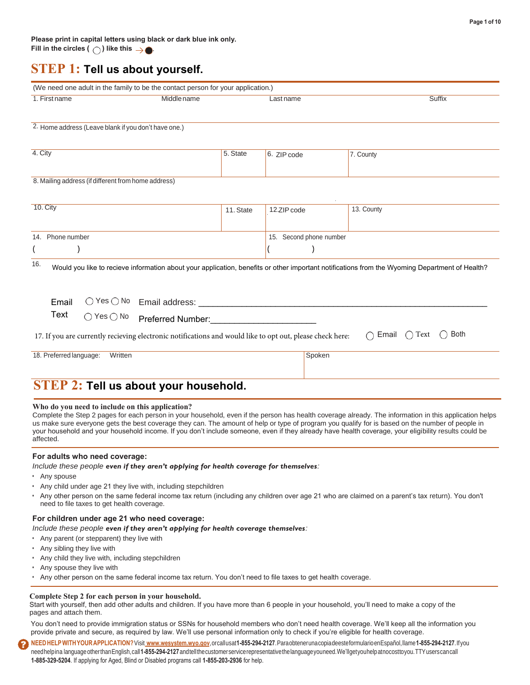### **STEP 1: Tell us about yourself.**

| 1. First name                                        | Middle name                                                                                               |           | Lastname                | <b>Suffix</b>                                                                                                                                  |
|------------------------------------------------------|-----------------------------------------------------------------------------------------------------------|-----------|-------------------------|------------------------------------------------------------------------------------------------------------------------------------------------|
| 2. Home address (Leave blank if you don't have one.) |                                                                                                           |           |                         |                                                                                                                                                |
| 4. City                                              |                                                                                                           | 5. State  | 6. ZIP code             | 7. County                                                                                                                                      |
| 8. Mailing address (if different from home address)  |                                                                                                           |           |                         |                                                                                                                                                |
| 10. City                                             |                                                                                                           | 11. State | 12.ZIP code             | 13. County                                                                                                                                     |
| 14. Phone number<br>V                                |                                                                                                           |           | 15. Second phone number |                                                                                                                                                |
| 16.                                                  |                                                                                                           |           |                         | Would you like to recieve information about your application, benefits or other important notifications from the Wyoming Department of Health? |
| Email                                                |                                                                                                           |           |                         |                                                                                                                                                |
| Text<br>$\bigcirc$ Yes $\bigcirc$ No                 | Preferred Number:                                                                                         |           |                         |                                                                                                                                                |
|                                                      | 17. If you are currently recieving electronic notifications and would like to opt out, please check here: |           |                         | <b>Both</b><br>Text<br>Email<br>$\left(\right)$<br>(                                                                                           |
| 18. Preferred language:<br>Written                   |                                                                                                           |           | Spoken                  |                                                                                                                                                |
|                                                      |                                                                                                           |           |                         |                                                                                                                                                |

#### **Who do you need to include on this application?**

Complete the Step 2 pages for each person in your household, even if the person has health coverage already. The information in this application helps us make sure everyone gets the best coverage they can. The amount of help or type of program you qualify for is based on the number of people in your household and your household income. If you don't include someone, even if they already have health coverage, your eligibility results could be affected.

#### **For adults who need coverage:**

#### *Include these people even if they aren't applying for health coverage for themselves:*

- Any spouse
- Any child under age 21 they live with, including stepchildren
- Any other person on the same federal income tax return (including any children over age 21 who are claimed on a parent's tax return). You don't need to file taxes to get health coverage.

### **For children under age 21 who need coverage:**

*Include these people even if they aren't applying for health coverage themselves:*

- Any parent (or stepparent) they live with
- Any sibling they live with
- Any child they live with, including stepchildren
- Any spouse they live with
- Any other person on the same federal income tax return. You don't need to file taxes to get health coverage.

#### **Complete Step 2 for each person in your household.**

Start with yourself, then add other adults and children. If you have more than 6 people in your household, you'll need to make a copy of the pages and attach them.

You don't need to provide immigration status or SSNs for household members who don't need health coverage. We'll keep all the information you provide private and secure, as required by law. We'll use personal information only to check if you're eligible for health coverage.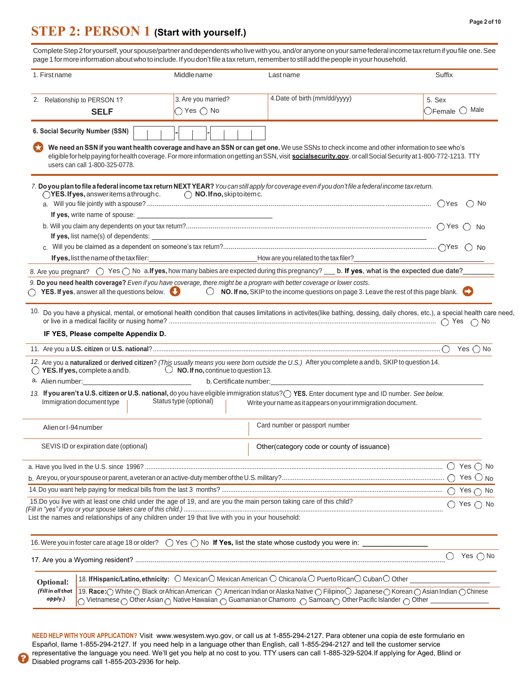#### **Page 2 of 10**

## **STEP 2: PERSON 1 (Start with yourself.)**

Complete Step 2 for yourself, your spouse/partner anddependents who live with you, and/or anyone on your same federal income tax return if you file one. See page 1 for more information about who to include. If you don't file a tax return, remember to still add the people in your household.

| 1. First name                                                                                                                                                                                                         | Middle name                                         | Last name                                                                                                                                                                                                                                                                                                    | Suffix                               |
|-----------------------------------------------------------------------------------------------------------------------------------------------------------------------------------------------------------------------|-----------------------------------------------------|--------------------------------------------------------------------------------------------------------------------------------------------------------------------------------------------------------------------------------------------------------------------------------------------------------------|--------------------------------------|
| 2. Relationship to PERSON 1?<br><b>SELF</b>                                                                                                                                                                           | 3. Are you married?<br>$\bigcirc$ Yes $\bigcirc$ No | 4. Date of birth (mm/dd/yyyy)                                                                                                                                                                                                                                                                                | 5. Sex<br>$O$ Female $O$ Male        |
| 6. Social Security Number (SSN)                                                                                                                                                                                       |                                                     |                                                                                                                                                                                                                                                                                                              |                                      |
| users can call 1-800-325-0778.                                                                                                                                                                                        |                                                     | We need an SSN if you want health coverage and have an SSN or can get one. We use SSNs to check income and other information to see who's<br>eligible for help paying for health coverage. For more information on getting an SSN, visit social security.gov, or call Social Security at 1-800-772-1213. TTY |                                      |
| $\bigcirc$ YES. If yes, answer items a through c.                                                                                                                                                                     | $\bigcirc$ NO. If no, skiptoitem c.                 | 7. Do you plan to file a federal income tax return NEXT YEAR? You can still apply for coverage even if you don't file a federal income tax return.                                                                                                                                                           | $\bigcirc$ No                        |
|                                                                                                                                                                                                                       |                                                     |                                                                                                                                                                                                                                                                                                              |                                      |
| If yes, list name(s) of dependents:                                                                                                                                                                                   |                                                     |                                                                                                                                                                                                                                                                                                              |                                      |
|                                                                                                                                                                                                                       |                                                     |                                                                                                                                                                                                                                                                                                              |                                      |
| If yes, list the name of the tax filer:                                                                                                                                                                               |                                                     |                                                                                                                                                                                                                                                                                                              |                                      |
|                                                                                                                                                                                                                       |                                                     | 8. Are you pregnant?<br>O Yes  O No a. If yes, what is the expected due date?                                                                                                                                                                                                                                |                                      |
| $\bigcirc$ YES. If yes, answer all the questions below.                                                                                                                                                               |                                                     | 9. Do you need health coverage? Even if you have coverage, there might be a program with better coverage or lower costs.<br>$\bigcirc$ NO. If no, SKIP to the income questions on page 3. Leave the rest of this page blank.                                                                                 |                                      |
|                                                                                                                                                                                                                       |                                                     | 10. Do you have a physical, mental, or emotional health condition that causes limitations in activites(like bathing, dessing, daily chores, etc.), a special health care need,                                                                                                                               |                                      |
| IF YES, Please compelte Appendix D.                                                                                                                                                                                   |                                                     |                                                                                                                                                                                                                                                                                                              |                                      |
|                                                                                                                                                                                                                       |                                                     |                                                                                                                                                                                                                                                                                                              | Yes $\bigcirc$ No                    |
|                                                                                                                                                                                                                       |                                                     | 12. Are you a naturalized or derived citizen? (This usually means you were born outside the U.S.) After you complete a and b, SKIP to question 14.                                                                                                                                                           |                                      |
|                                                                                                                                                                                                                       |                                                     |                                                                                                                                                                                                                                                                                                              |                                      |
| Immigration document type                                                                                                                                                                                             | Status type (optional)                              | 13. If you aren't a U.S. citizen or U.S. national, do you have eligible immigration status? YES. Enter document type and ID number. See below.<br>Write your name as it appears on your immigration document.                                                                                                |                                      |
| Alien or I-94 number                                                                                                                                                                                                  |                                                     | Card number or passport number                                                                                                                                                                                                                                                                               |                                      |
| SEVIS ID or expiration date (optional)                                                                                                                                                                                |                                                     | Other(category code or county of issuance)                                                                                                                                                                                                                                                                   |                                      |
|                                                                                                                                                                                                                       |                                                     |                                                                                                                                                                                                                                                                                                              |                                      |
|                                                                                                                                                                                                                       |                                                     |                                                                                                                                                                                                                                                                                                              |                                      |
|                                                                                                                                                                                                                       |                                                     |                                                                                                                                                                                                                                                                                                              |                                      |
| 15.Do you live with at least one child under the age of 19, and are you the main person taking care of this child?<br>List the names and relationships of any children under 19 that live with you in your household: |                                                     |                                                                                                                                                                                                                                                                                                              | $\bigcap$ Yes $\bigcap$ No           |
|                                                                                                                                                                                                                       |                                                     |                                                                                                                                                                                                                                                                                                              |                                      |
|                                                                                                                                                                                                                       |                                                     |                                                                                                                                                                                                                                                                                                              |                                      |
|                                                                                                                                                                                                                       |                                                     |                                                                                                                                                                                                                                                                                                              | Yes $\bigcirc$ No<br>$\left(\right)$ |
| Optional:                                                                                                                                                                                                             |                                                     | 18. If Hispanic/Latino, ethnicity: $\bigcirc$ Mexican $\bigcirc$ Mexican American $\bigcirc$ Chicano/a $\bigcirc$ Puerto Rican $\bigcirc$ Cuban $\bigcirc$ Other                                                                                                                                             |                                      |
| (Fill in all that<br>apply.)                                                                                                                                                                                          |                                                     | 19. Race: O White O Black or African American O American Indian or Alaska Native O Filipino O Japanese O Korean O Asian Indian O Chinese                                                                                                                                                                     |                                      |

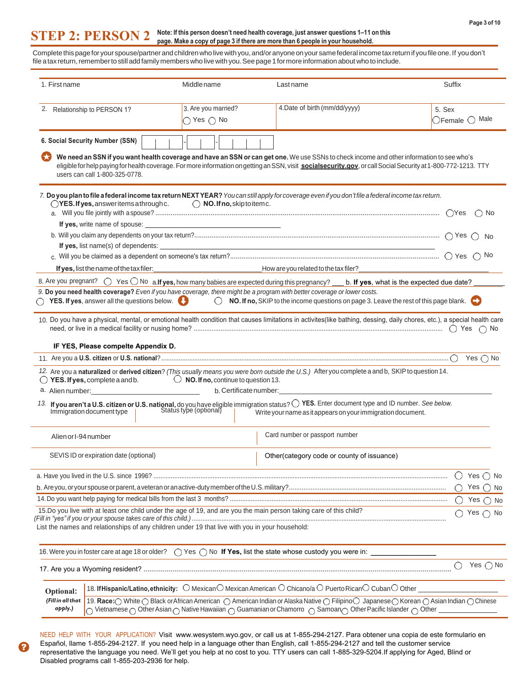#### **STEP 2: PERSON 2 Note: If this person doesn't need health coverage, just answer questions 1–11 on this page. Make a copy of page 3 if there are more than 6 people in your household.**

Complete this page for your spouse/partner and children who live with you, and/or anyone on your same federal income tax return if you file one. If you don't file a tax return, remember to still add family members who live with you. See page 1 for more information about who to include.

| 1. First name                                                                                                                                                                                                                        | Middle name                        | Last name                                                                                                                                                                                                                                                                                                    | Suffix                            |
|--------------------------------------------------------------------------------------------------------------------------------------------------------------------------------------------------------------------------------------|------------------------------------|--------------------------------------------------------------------------------------------------------------------------------------------------------------------------------------------------------------------------------------------------------------------------------------------------------------|-----------------------------------|
| 2. Relationship to PERSON 1?                                                                                                                                                                                                         | 3. Are you married?                | 4. Date of birth (mm/dd/yyyy)                                                                                                                                                                                                                                                                                | 5. Sex                            |
|                                                                                                                                                                                                                                      | $\bigcirc$ Yes $\bigcirc$ No       |                                                                                                                                                                                                                                                                                                              | $\bigcirc$ Female $\bigcirc$ Male |
|                                                                                                                                                                                                                                      |                                    |                                                                                                                                                                                                                                                                                                              |                                   |
| 6. Social Security Number (SSN)                                                                                                                                                                                                      |                                    |                                                                                                                                                                                                                                                                                                              |                                   |
| users can call 1-800-325-0778.                                                                                                                                                                                                       |                                    | We need an SSN if you want health coverage and have an SSN or can get one. We use SSNs to check income and other information to see who's<br>eligible for help paying for health coverage. For more information on getting an SSN, visit social security.gov, or call Social Security at 1-800-772-1213. TTY |                                   |
|                                                                                                                                                                                                                                      |                                    | 7. Do you plan to file a federal income tax return NEXT YEAR? You can still apply for coverage even if youdon't file a federal income tax return.                                                                                                                                                            |                                   |
| $\bigcirc$ YES. If yes, answer items a through c.                                                                                                                                                                                    | $\bigcirc$ NO. If no, skiptoitemc. |                                                                                                                                                                                                                                                                                                              |                                   |
|                                                                                                                                                                                                                                      |                                    |                                                                                                                                                                                                                                                                                                              |                                   |
|                                                                                                                                                                                                                                      |                                    |                                                                                                                                                                                                                                                                                                              |                                   |
|                                                                                                                                                                                                                                      |                                    |                                                                                                                                                                                                                                                                                                              |                                   |
|                                                                                                                                                                                                                                      |                                    |                                                                                                                                                                                                                                                                                                              |                                   |
|                                                                                                                                                                                                                                      |                                    |                                                                                                                                                                                                                                                                                                              |                                   |
|                                                                                                                                                                                                                                      |                                    | If yes, list the name of the tax filer:<br>1990 - How are you related to the tax filer?                                                                                                                                                                                                                      |                                   |
|                                                                                                                                                                                                                                      |                                    | 8. Are you pregnant? $\bigcirc$ Yes $\bigcirc$ No a. If yes, how many babies are expected during this pregnancy? __ b. If yes, what is the expected due date?                                                                                                                                                |                                   |
|                                                                                                                                                                                                                                      |                                    | 9. Do you need health coverage? Even if you have coverage, there might be a program with better coverage or lower costs.<br>$\bigcirc$ YES. If yes, answer all the questions below. $\bigcirc$ NO. If no, SKIP to the income questions on page 3. Leave the rest of this page blank.                         |                                   |
|                                                                                                                                                                                                                                      |                                    | 10. Do you have a physical, mental, or emotional health condition that causes limitations in activites(like bathing, dessing, daily chores, etc.), a special health care                                                                                                                                     |                                   |
|                                                                                                                                                                                                                                      |                                    |                                                                                                                                                                                                                                                                                                              |                                   |
|                                                                                                                                                                                                                                      |                                    |                                                                                                                                                                                                                                                                                                              |                                   |
| IF YES, Please compelte Appendix D.                                                                                                                                                                                                  |                                    | and the control of the control of the control of the control of the control of the control of the control of the                                                                                                                                                                                             |                                   |
|                                                                                                                                                                                                                                      |                                    |                                                                                                                                                                                                                                                                                                              |                                   |
| $\bigcirc$ YES. If yes, complete a and b. $\bigcirc$ NO. If no, continue to question 13.                                                                                                                                             |                                    | 12. Are you a naturalized or derived citizen? (This usually means you were born outside the U.S.) After you complete a and b, SKIP to question 14.                                                                                                                                                           |                                   |
| a. Alien number: <u>contained a series of the series of the series of the series of the series of the series of the series of the series of the series of the series of the series of the series of the series of the series of </u> |                                    |                                                                                                                                                                                                                                                                                                              |                                   |
|                                                                                                                                                                                                                                      |                                    |                                                                                                                                                                                                                                                                                                              |                                   |
|                                                                                                                                                                                                                                      |                                    | 13. If you aren't a U.S. citizen or U.S. national, do you have eligible immigration status? $\bigcirc$ YES. Enter document type and ID number. See below.<br>Immigration document type   Status type (optional)   Write vour name as                                                                         |                                   |
| Alien or I-94 number                                                                                                                                                                                                                 |                                    | Card number or passport number                                                                                                                                                                                                                                                                               |                                   |
| SEVIS ID or expiration date (optional)                                                                                                                                                                                               |                                    | Other (category code or county of issuance)                                                                                                                                                                                                                                                                  |                                   |
|                                                                                                                                                                                                                                      |                                    |                                                                                                                                                                                                                                                                                                              | Yes $\bigcirc$ No                 |
|                                                                                                                                                                                                                                      |                                    |                                                                                                                                                                                                                                                                                                              | Yes $\bigcap$<br>No               |
|                                                                                                                                                                                                                                      |                                    |                                                                                                                                                                                                                                                                                                              | Yes $\bigcap$ No                  |
| 15.Do you live with at least one child under the age of 19, and are you the main person taking care of this child?                                                                                                                   |                                    |                                                                                                                                                                                                                                                                                                              | Yes $\bigcap$ No                  |
| List the names and relationships of any children under 19 that live with you in your household:                                                                                                                                      |                                    |                                                                                                                                                                                                                                                                                                              |                                   |
|                                                                                                                                                                                                                                      |                                    | 16. Were you in foster care at age 18 or older? ◯ Yes ◯ No If Yes, list the state whose custody you were in: _                                                                                                                                                                                               |                                   |
|                                                                                                                                                                                                                                      |                                    |                                                                                                                                                                                                                                                                                                              | Yes $\bigcirc$ No<br>O            |
| Optional:                                                                                                                                                                                                                            |                                    | 18. If Hispanic/Latino, ethnicity: O MexicanO Mexican American O Chicano/a O Puerto RicanO CubanO Other _                                                                                                                                                                                                    |                                   |
| (Fill in all that                                                                                                                                                                                                                    |                                    | 19. Race: O White O Black or African American O American Indian or Alaska Native O Filipino O Japanese O Korean O Asian Indian O Chinese                                                                                                                                                                     |                                   |
| apply.)                                                                                                                                                                                                                              |                                    | $\bigcirc$ Vietnamese $\bigcirc$ Other Asian $\bigcirc$ Native Hawaiian $\bigcirc$ Guamanian or Chamorro $\bigcirc$ Samoan $\bigcirc$ Other Pacific Islander $\bigcirc$ Other                                                                                                                                |                                   |

NEED HELP WITH YOUR APPLICATION? Visit www.wesystem.wyo.gov, or call us at 1-855-294-2127. Para obtener una copia de este formulario en Español, llame 1-855-294-2127. If you need help in a language other than English, call 1-855-294-2127 and tell the customer service representative the language you need. We'll get you help at no cost to you. TTY users can call 1-885-329-5204.If applying for Aged, Blind or Disabled programs call 1-855-203-2936 for help.

2.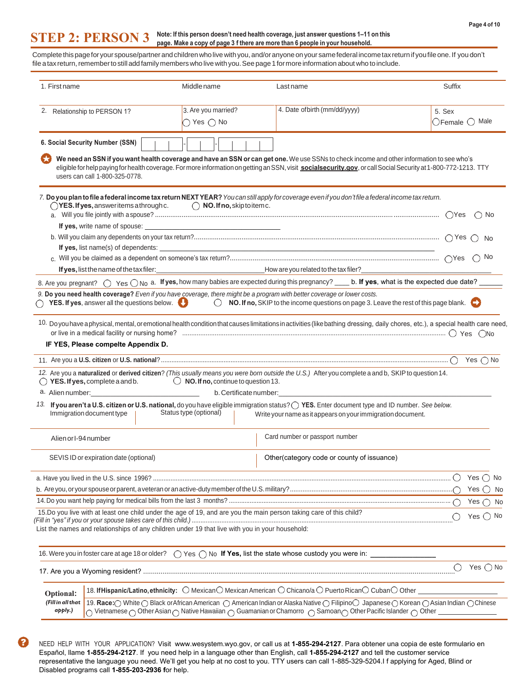### **STEP 2: PERSON 3 Note: If this person doesn't need health coverage, just answer questions 1–11 on this page. Make a copy of page 3 f there are more than 6 people in your household.**

Complete this page for your spouse/partner and children who live with you, and/or anyone on your same federal income tax return if you file one. If you don't file a tax return, remember to still add family members who live with you. See page 1 for more information about who to include.  $\overline{a}$ 

| 1. First name                                                                                                            | Middle name                  | Last name                                                                                                                                                                                                                                                                                                     | Suffix                            |
|--------------------------------------------------------------------------------------------------------------------------|------------------------------|---------------------------------------------------------------------------------------------------------------------------------------------------------------------------------------------------------------------------------------------------------------------------------------------------------------|-----------------------------------|
| 2. Relationship to PERSON 1?                                                                                             | 3. Are you married?          | 4. Date of birth (mm/dd/yyyy)                                                                                                                                                                                                                                                                                 | 5. Sex                            |
|                                                                                                                          | $\bigcirc$ Yes $\bigcirc$ No |                                                                                                                                                                                                                                                                                                               | $\bigcirc$ Female $\bigcirc$ Male |
| 6. Social Security Number (SSN)                                                                                          |                              |                                                                                                                                                                                                                                                                                                               |                                   |
| users can call 1-800-325-0778.                                                                                           |                              | We need an SSN if you want health coverage and have an SSN or can get one. We use SSNs to check income and other information to see who's<br>eligible for help paying for health coverage. For more information on getting an SSN, visit social security.gov, or call Social Security at 1-800-772-1213. TTY  |                                   |
| $\bigcirc$ YES. If yes, answeritems athrough c. $\bigcirc$ NO. If no, skip to item c.                                    |                              | 7. Do you plan to file a federal income tax return NEXT YEAR? You can still apply for coverage even if you don't file a federal income tax return.                                                                                                                                                            |                                   |
|                                                                                                                          |                              |                                                                                                                                                                                                                                                                                                               |                                   |
|                                                                                                                          |                              |                                                                                                                                                                                                                                                                                                               |                                   |
|                                                                                                                          |                              |                                                                                                                                                                                                                                                                                                               |                                   |
|                                                                                                                          |                              |                                                                                                                                                                                                                                                                                                               |                                   |
|                                                                                                                          |                              |                                                                                                                                                                                                                                                                                                               |                                   |
|                                                                                                                          |                              | 8. Are you pregnant? $\bigcirc$ Yes $\bigcirc$ No a. If yes, how many babies are expected during this pregnancy? ____ b. If yes, what is the expected due date? ____                                                                                                                                          |                                   |
| 9. Do you need health coverage? Even if you have coverage, there might be a program with better coverage or lower costs. |                              |                                                                                                                                                                                                                                                                                                               |                                   |
|                                                                                                                          |                              | $\bigcirc$ YES. If yes, answer all the questions below. $\bigcirc$ NO. If no, SKIP to the income questions on page 3. Leave the rest of this page blank.                                                                                                                                                      |                                   |
|                                                                                                                          |                              | 10. Do you have aphysical, mental, or emotional health condition that causes limitations in activities (like bathing dressing, daily chores, etc.), a special health care need,                                                                                                                               |                                   |
| IF YES, Please compelte Appendix D.                                                                                      |                              |                                                                                                                                                                                                                                                                                                               |                                   |
|                                                                                                                          |                              |                                                                                                                                                                                                                                                                                                               |                                   |
| $\bigcirc$ YES. If yes, complete a and b. $\bigcirc$ NO. If no, continue to question 13.                                 |                              | 12. Are you a naturalized or derived citizen? (This usually means you were born outside the U.S.) After you complete a and b, SKIP to question 14.                                                                                                                                                            |                                   |
|                                                                                                                          |                              | b. Certificate number:                                                                                                                                                                                                                                                                                        |                                   |
| Immigration document type                                                                                                | Status type (optional)       | 13. If you aren't a U.S. citizen or U.S. national, do you have eligible immigration status? O YES. Enter document type and ID number. See below.<br>Write your name as it appears on your immigration document.                                                                                               |                                   |
| Alien or I-94 number                                                                                                     |                              | Card number or passport number                                                                                                                                                                                                                                                                                |                                   |
| SEVIS ID or expiration date (optional)                                                                                   |                              | Other(category code or county of issuance)                                                                                                                                                                                                                                                                    |                                   |
|                                                                                                                          |                              |                                                                                                                                                                                                                                                                                                               | Yes $\bigcap$ No                  |
|                                                                                                                          |                              |                                                                                                                                                                                                                                                                                                               | Yes $\bigcirc$ No                 |
|                                                                                                                          |                              |                                                                                                                                                                                                                                                                                                               | Yes $\bigcirc$ No                 |
| 15.Do you live with at least one child under the age of 19, and are you the main person taking care of this child?       |                              |                                                                                                                                                                                                                                                                                                               |                                   |
| List the names and relationships of any children under 19 that live with you in your household:                          |                              |                                                                                                                                                                                                                                                                                                               | Yes $\bigcirc$ No                 |
|                                                                                                                          |                              |                                                                                                                                                                                                                                                                                                               |                                   |
|                                                                                                                          |                              |                                                                                                                                                                                                                                                                                                               | Yes $\bigcirc$ No<br>Ő            |
| Optional:                                                                                                                |                              | 18. If Hispanic/Latino, ethnicity: $\bigcirc$ Mexican $\bigcirc$ Mexican American $\bigcirc$ Chicano/a $\bigcirc$ Puerto Rican $\bigcirc$ Cuban $\bigcirc$ Other $\bot$                                                                                                                                       |                                   |
| (Fill in all that<br>apply.)                                                                                             |                              | 19. Race: O White O Black or African American O American Indian or Alaska Native O Filipino O Japanese O Korean O Asian Indian O Chinese<br>$\cap$ Vietnamese $\cap$ Other Asian $\cap$ Native Hawaiian $\cap$ Guamanian or Chamorro $\cap$ Samoan $\cap$ Other Pacific Islander $\cap$ Other $\overline{\ }$ |                                   |

NEED HELP WITH YOUR APPLICATION? Visit www.wesystem.wyo.gov, or call us at **1-855-294-2127**. Para obtener una copia de este formulario en Español, llame **1-855-294-2127**. If you need help in a language other than English, call **1-855-294-2127** and tell the customer service representative the language you need. We'll get you help at no cost to you. TTY users can call 1-885-329-5204.I f applying for Aged, Blind or Disabled programs call **1-855-203-2936 f**or help.

Ω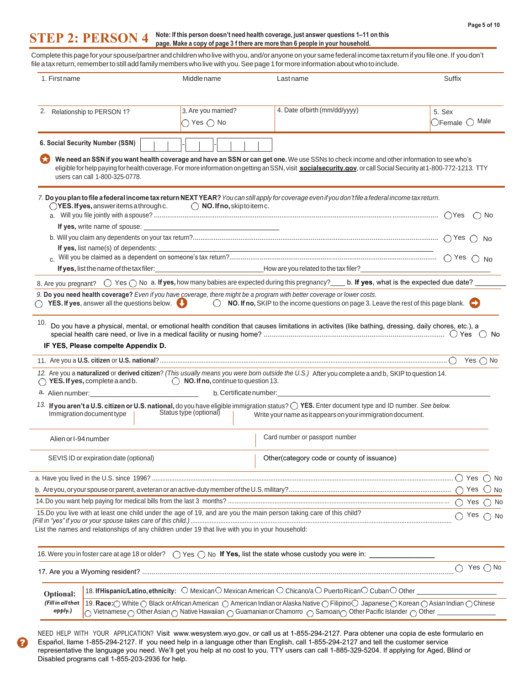#### **STEP 2: PERSON 4 Note: If this person doesn't need health coverage, just answer questions 1–11 on this page. Make a copy of page 3 f there are more than 6 people in your household.**

Complete this page for your spouse/partner and children who live with you, and/or anyone on your same federal income tax return if you file one. If you don't file a tax return, remember to still add family members who live with you. See page 1 for more information about who to include.

| 1. First name        |                                                  | Middle name                                                                                                                                                                                                                    | Last name                                                                                                                                                                                                                                                                                                   | Suffix                                                     |
|----------------------|--------------------------------------------------|--------------------------------------------------------------------------------------------------------------------------------------------------------------------------------------------------------------------------------|-------------------------------------------------------------------------------------------------------------------------------------------------------------------------------------------------------------------------------------------------------------------------------------------------------------|------------------------------------------------------------|
|                      | 2. Relationship to PERSON 1?                     | 3. Are you married?                                                                                                                                                                                                            | 4. Date of birth (mm/dd/yyyy)                                                                                                                                                                                                                                                                               | 5. Sex                                                     |
|                      |                                                  | $\bigcirc$ Yes $\bigcirc$ No                                                                                                                                                                                                   |                                                                                                                                                                                                                                                                                                             | $\circ$ Female $\circ$ Male                                |
|                      | 6. Social Security Number (SSN)                  |                                                                                                                                                                                                                                |                                                                                                                                                                                                                                                                                                             |                                                            |
|                      | users can call 1-800-325-0778.                   |                                                                                                                                                                                                                                | We need an SSN if you want health coverage and have an SSN or can get one. We use SSNs to check income and other information to see who's<br>eligible for help paying for health coverage. For more information on getting an SSN, visit socialsecurity.gov, or call Social Security at 1-800-772-1213. TTY |                                                            |
|                      | $\bigcirc$ YES. If yes, answeritems a through c. | $\bigcirc$ NO. If no, skiptoitem c.                                                                                                                                                                                            | 7. Do you plan to file a federal income tax return NEXT YEAR? You can still apply for coverage even if you don't file a federal income tax return.                                                                                                                                                          | ( ) No                                                     |
|                      |                                                  |                                                                                                                                                                                                                                |                                                                                                                                                                                                                                                                                                             |                                                            |
|                      |                                                  |                                                                                                                                                                                                                                |                                                                                                                                                                                                                                                                                                             |                                                            |
|                      |                                                  |                                                                                                                                                                                                                                |                                                                                                                                                                                                                                                                                                             |                                                            |
|                      |                                                  |                                                                                                                                                                                                                                |                                                                                                                                                                                                                                                                                                             | $\bigcirc$ No                                              |
|                      | If yes, list the name of the tax filer:          |                                                                                                                                                                                                                                |                                                                                                                                                                                                                                                                                                             |                                                            |
|                      |                                                  |                                                                                                                                                                                                                                | 8. Are you pregnant? $\bigcirc$ Yes $\bigcirc$ No a. If yes, how many babies are expected during this pregnancy? ___ b. If yes, what is the expected due date? ____                                                                                                                                         |                                                            |
|                      |                                                  | $\bigcirc$ YES. If yes, answer all the questions below.                                                                                                                                                                        | 9. Do you need health coverage? Even if you have coverage, there might be a program with better coverage or lower costs.<br>$\circled{}$ NO. If no, SKIP to the income questions on page 3. Leave the rest of this page blank.                                                                              |                                                            |
|                      | $\bigcap$ YES. If yes, complete a and b.         | $\bigcirc$ NO. If no, continue to question 13.                                                                                                                                                                                 | 12. Are you a naturalized or derived citizen? (This usually means you were born outside the U.S.) After you complete a and b, SKIP to question 14.                                                                                                                                                          | Yes $\bigcirc$ No                                          |
|                      |                                                  | a. Alien number: 1000 million and the matter of the matter of the matter of the matter of the matter of the matter of the matter of the matter of the matter of the matter of the matter of the matter of the matter of the ma | b. Certificate number: the contract of the contract of the contract of the contract of the contract of the contract of the contract of the contract of the contract of the contract of the contract of the contract of the con                                                                              |                                                            |
|                      | Immigration document type                        | Status type (optional)                                                                                                                                                                                                         | 13. If you aren't a U.S. citizen or U.S. national, do you have eligible immigration status? O YES. Enter document type and ID number. See below.<br>Write your name as it appears on your immigration document.                                                                                             |                                                            |
| Alien or I-94 number |                                                  |                                                                                                                                                                                                                                | Card number or passport number                                                                                                                                                                                                                                                                              |                                                            |
|                      | SEVIS ID or expiration date (optional)           |                                                                                                                                                                                                                                | Other(category code or county of issuance)                                                                                                                                                                                                                                                                  |                                                            |
|                      |                                                  |                                                                                                                                                                                                                                |                                                                                                                                                                                                                                                                                                             |                                                            |
|                      |                                                  |                                                                                                                                                                                                                                |                                                                                                                                                                                                                                                                                                             |                                                            |
|                      |                                                  |                                                                                                                                                                                                                                |                                                                                                                                                                                                                                                                                                             | $\bigcap$ Yes $\bigcap$ No                                 |
|                      |                                                  |                                                                                                                                                                                                                                | 15.Do you live with at least one child under the age of 19, and are you the main person taking care of this child?                                                                                                                                                                                          |                                                            |
|                      |                                                  |                                                                                                                                                                                                                                |                                                                                                                                                                                                                                                                                                             |                                                            |
|                      |                                                  | List the names and relationships of any children under 19 that live with you in your household:                                                                                                                                |                                                                                                                                                                                                                                                                                                             |                                                            |
|                      |                                                  |                                                                                                                                                                                                                                |                                                                                                                                                                                                                                                                                                             |                                                            |
|                      |                                                  |                                                                                                                                                                                                                                |                                                                                                                                                                                                                                                                                                             |                                                            |
| Optional:            |                                                  |                                                                                                                                                                                                                                | 18. If Hispanic/Latino, ethnicity: $\circlearrowleft$ Mexican $\circlearrowright$ Mexican American $\circlearrowright$ Chicano/a $\circlearrowright$ Puerto Rican $\circlearrowright$ Cuban $\circlearrowright$ Other $\_\_$                                                                                | $\bigcap$ Yes $\bigcap$ No<br>$\bigcirc$ Yes $\bigcirc$ No |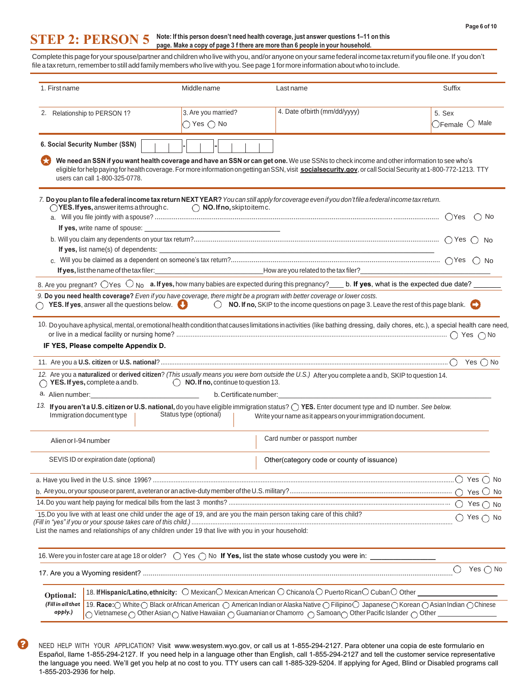#### **STEP 2: PERSON 5 Note: If this person doesn't need health coverage, just answer questions 1–11 on this page. Make a copy of page 3 f there are more than 6 people in your household.**

Complete this page for your spouse/partner and children who live with you, and/or anyone on your same federal income tax return if you file one. If you don't file a tax return, remember to still add family members who live with you. See page 1 for more information about who to include.

| 1. First name                                                                                                      | Middle name                  | Last name                                                                                                                                                                                                                                                                                                   | Suffix                            |
|--------------------------------------------------------------------------------------------------------------------|------------------------------|-------------------------------------------------------------------------------------------------------------------------------------------------------------------------------------------------------------------------------------------------------------------------------------------------------------|-----------------------------------|
| 2. Relationship to PERSON 1?                                                                                       | 3. Are you married?          | 4. Date of birth (mm/dd/yyyy)                                                                                                                                                                                                                                                                               | 5. Sex                            |
|                                                                                                                    | $\bigcirc$ Yes $\bigcirc$ No |                                                                                                                                                                                                                                                                                                             | $\bigcirc$ Female $\bigcirc$ Male |
| 6. Social Security Number (SSN)                                                                                    |                              |                                                                                                                                                                                                                                                                                                             |                                   |
| users can call 1-800-325-0778.                                                                                     |                              | We need an SSN if you want health coverage and have an SSN or can get one. We use SSNs to check income and other information to see who's<br>eligible for help paying for health coverage. For more information on getting an SSN, visit socialsecurity.gov, or call Social Security at 1-800-772-1213. TTY |                                   |
|                                                                                                                    |                              | 7. Do you plan to file a federal income tax return NEXT YEAR? You can still apply for coverage even if youdon't file a federal income tax return.                                                                                                                                                           |                                   |
| $\bigcirc$ YES. If yes, answeritems a through c. $\bigcirc$ NO. If no, skip to item c.                             |                              |                                                                                                                                                                                                                                                                                                             |                                   |
|                                                                                                                    |                              |                                                                                                                                                                                                                                                                                                             |                                   |
|                                                                                                                    |                              |                                                                                                                                                                                                                                                                                                             |                                   |
|                                                                                                                    |                              |                                                                                                                                                                                                                                                                                                             |                                   |
|                                                                                                                    |                              |                                                                                                                                                                                                                                                                                                             |                                   |
|                                                                                                                    |                              | 8. Are you pregnant? $\bigcirc$ Yes $\bigcirc$ No a. If yes, how many babies are expected during this pregnancy? ____ b. If yes, what is the expected due date? ______                                                                                                                                      |                                   |
|                                                                                                                    |                              | 9. Do you need health coverage? Even if you have coverage, there might be a program with better coverage or lower costs.                                                                                                                                                                                    |                                   |
|                                                                                                                    |                              | $\bigcirc$ YES. If yes, answer all the questions below. $\bigcirc$ $\bigcirc$ NO. If no, SKIP to the income questions on page 3. Leave the rest of this page blank. $\bigcirc$                                                                                                                              |                                   |
| IF YES, Please compelte Appendix D.                                                                                |                              | 10. Doyouhave aphysical, mental, oremotional health condition that causes limitations in activities (like bathing dressing, daily chores, etc.), a special health care need,                                                                                                                                |                                   |
|                                                                                                                    |                              | and the control of the control of the control of the control of the control of the control of the control of the                                                                                                                                                                                            |                                   |
| $\bigcirc$ YES. If yes, complete a and b. $\bigcirc$ NO. If no, continue to question 13.                           |                              | 12. Are you a naturalized or derived citizen? (This usually means you were born outside the U.S.) After you complete a and b, SKIP to question 14.                                                                                                                                                          |                                   |
|                                                                                                                    |                              |                                                                                                                                                                                                                                                                                                             |                                   |
| Immigration document type   Status type (optional)                                                                 |                              | 13. If you aren't a U.S. citizen or U.S. national, do you have eligible immigration status? $\bigcirc$ YES. Enter document type and ID number. See below.<br>Write your name as it appears on your immigration document.                                                                                    |                                   |
| Alien or I-94 number                                                                                               |                              | Card number or passport number                                                                                                                                                                                                                                                                              |                                   |
| SEVIS ID or expiration date (optional)                                                                             |                              | Other(category code or county of issuance)                                                                                                                                                                                                                                                                  |                                   |
|                                                                                                                    |                              |                                                                                                                                                                                                                                                                                                             |                                   |
|                                                                                                                    |                              |                                                                                                                                                                                                                                                                                                             |                                   |
|                                                                                                                    |                              |                                                                                                                                                                                                                                                                                                             |                                   |
| 15.Do you live with at least one child under the age of 19, and are you the main person taking care of this child? |                              |                                                                                                                                                                                                                                                                                                             | $\bigcap$ Yes $\bigcap$ No        |
| List the names and relationships of any children under 19 that live with you in your household:                    |                              |                                                                                                                                                                                                                                                                                                             |                                   |
|                                                                                                                    |                              |                                                                                                                                                                                                                                                                                                             |                                   |
|                                                                                                                    |                              |                                                                                                                                                                                                                                                                                                             | Yes $\bigcirc$ No<br>О            |
| Optional:                                                                                                          |                              | 18. If Hispanic/Latino, ethnicity: O MexicanO Mexican American O Chicano/a O Puerto RicanO CubanO Other _____                                                                                                                                                                                               |                                   |
| (Fill in all that                                                                                                  |                              | 19. Race: O White O Black or African American O American Indian or Alaska Native O Filipino O Japanese O Korean O Asian Indian O Chinese                                                                                                                                                                    |                                   |
| apply.)                                                                                                            |                              | $\bigcirc$ Vietnamese $\bigcirc$ Other Asian $\bigcirc$ Native Hawaiian $\bigcirc$ Guamanian or Chamorro $\bigcirc$ Samoan $\bigcirc$ Other Pacific Islander $\bigcirc$ Other                                                                                                                               |                                   |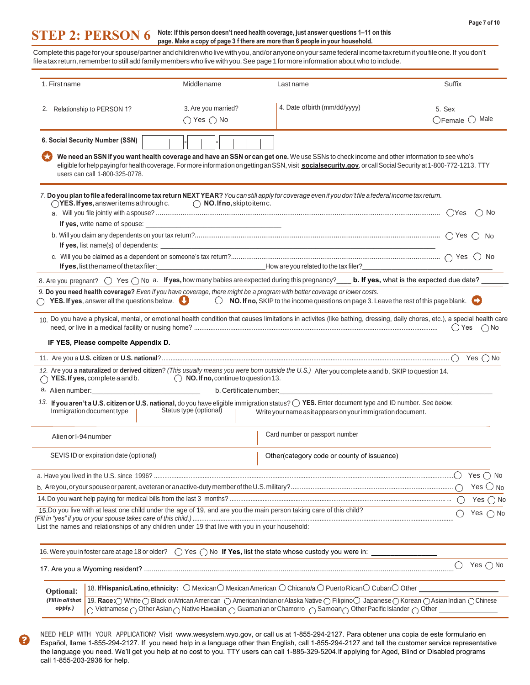#### **STEP 2: PERSON 6 Note: If this person doesn't need health coverage, just answer questions 1–11 on this page. Make a copy of page 3 f there are more than 6 people in your household.**

Complete this page for your spouse/partner and children who live with you, and/or anyone on your same federal income tax return if you file one. If you don't file a tax return, remember to still add family members who live with you. See page 1 for more information about who to include. Ē,

| 1. First name                |                                                                                                                                                                                                                                                                                                                | Middle name                                                                                     | Last name                                                                                                                                                                                                                                                                                                   | Suffix                            |  |  |
|------------------------------|----------------------------------------------------------------------------------------------------------------------------------------------------------------------------------------------------------------------------------------------------------------------------------------------------------------|-------------------------------------------------------------------------------------------------|-------------------------------------------------------------------------------------------------------------------------------------------------------------------------------------------------------------------------------------------------------------------------------------------------------------|-----------------------------------|--|--|
|                              |                                                                                                                                                                                                                                                                                                                |                                                                                                 |                                                                                                                                                                                                                                                                                                             |                                   |  |  |
|                              | 2. Relationship to PERSON 1?                                                                                                                                                                                                                                                                                   | 3. Are you married?                                                                             | 4. Date of birth (mm/dd/yyyy)                                                                                                                                                                                                                                                                               | 5. Sex                            |  |  |
|                              |                                                                                                                                                                                                                                                                                                                | $\bigcirc$ Yes $\bigcirc$ No                                                                    |                                                                                                                                                                                                                                                                                                             | $\bigcirc$ Female $\bigcirc$ Male |  |  |
|                              | 6. Social Security Number (SSN)                                                                                                                                                                                                                                                                                |                                                                                                 |                                                                                                                                                                                                                                                                                                             |                                   |  |  |
|                              | users can call 1-800-325-0778.                                                                                                                                                                                                                                                                                 |                                                                                                 | We need an SSN if you want health coverage and have an SSN or can get one. We use SSNs to check income and other information to see who's<br>eligible for help paying for health coverage. For more information on getting an SSN, visit socialsecurity.gov, or call Social Security at 1-800-772-1213. TTY |                                   |  |  |
|                              | $\bigcirc$ YES. If yes, answer items a through c.                                                                                                                                                                                                                                                              | $\bigcap$ NO. If no, skip to item c.                                                            | 7. Do you plan to file a federal income tax return NEXT YEAR? You can still apply for coverage even if you don't file a federal income tax return.                                                                                                                                                          |                                   |  |  |
|                              |                                                                                                                                                                                                                                                                                                                |                                                                                                 |                                                                                                                                                                                                                                                                                                             |                                   |  |  |
|                              |                                                                                                                                                                                                                                                                                                                |                                                                                                 |                                                                                                                                                                                                                                                                                                             |                                   |  |  |
|                              |                                                                                                                                                                                                                                                                                                                |                                                                                                 |                                                                                                                                                                                                                                                                                                             |                                   |  |  |
|                              |                                                                                                                                                                                                                                                                                                                |                                                                                                 |                                                                                                                                                                                                                                                                                                             |                                   |  |  |
|                              |                                                                                                                                                                                                                                                                                                                |                                                                                                 | 8. Are you pregnant? $\bigcirc$ Yes $\bigcirc$ No a. If yes, how many babies are expected during this pregnancy? ____ b. If yes, what is the expected due date? ____                                                                                                                                        |                                   |  |  |
|                              |                                                                                                                                                                                                                                                                                                                |                                                                                                 | 9. Do you need health coverage? Even if you have coverage, there might be a program with better coverage or lower costs.                                                                                                                                                                                    |                                   |  |  |
|                              |                                                                                                                                                                                                                                                                                                                |                                                                                                 | $\bigcirc$ YES. If yes, answer all the questions below. $\bigcirc$ NO. If no, SKIP to the income questions on page 3. Leave the rest of this page blank.                                                                                                                                                    |                                   |  |  |
|                              |                                                                                                                                                                                                                                                                                                                |                                                                                                 | 10. Do you have a physical, mental, or emotional health condition that causes limitations in activites (like bathing, dressing, daily chores, etc.), a special health care                                                                                                                                  | $() Yes \cap No$                  |  |  |
|                              | IF YES, Please compelte Appendix D.                                                                                                                                                                                                                                                                            |                                                                                                 | and the control of the control of the control of the control of the control of the control of the control of the                                                                                                                                                                                            |                                   |  |  |
|                              |                                                                                                                                                                                                                                                                                                                |                                                                                                 |                                                                                                                                                                                                                                                                                                             |                                   |  |  |
|                              |                                                                                                                                                                                                                                                                                                                | $\bigcirc$ YES. If yes, complete a and b. $\bigcirc$ NO. If no, continue to question 13.        | 12. Are you a naturalized or derived citizen? (This usually means you were born outside the U.S.) After you complete a and b, SKIP to question 14.                                                                                                                                                          |                                   |  |  |
|                              |                                                                                                                                                                                                                                                                                                                |                                                                                                 | b. Certificate number: expansion of the contract of the contract of the contract of the contract of the contract of the contract of the contract of the contract of the contract of the contract of the contract of the contra                                                                              |                                   |  |  |
|                              | Immigration document type                                                                                                                                                                                                                                                                                      | Status type (optional)                                                                          | 13. If you aren't a U.S. citizen or U.S. national, do you have eligible immigration status? O YES. Enter document type and ID number. See below.<br>Write your name as it appears on your immigration document.                                                                                             |                                   |  |  |
| Alien or I-94 number         |                                                                                                                                                                                                                                                                                                                |                                                                                                 | Card number or passport number                                                                                                                                                                                                                                                                              |                                   |  |  |
|                              | SEVIS ID or expiration date (optional)                                                                                                                                                                                                                                                                         |                                                                                                 | Other(category code or county of issuance)                                                                                                                                                                                                                                                                  |                                   |  |  |
|                              |                                                                                                                                                                                                                                                                                                                |                                                                                                 |                                                                                                                                                                                                                                                                                                             | Yes () No                         |  |  |
|                              |                                                                                                                                                                                                                                                                                                                |                                                                                                 |                                                                                                                                                                                                                                                                                                             | Yes $\bigcirc$ No                 |  |  |
|                              |                                                                                                                                                                                                                                                                                                                |                                                                                                 |                                                                                                                                                                                                                                                                                                             | Yes $\bigcirc$ No                 |  |  |
|                              |                                                                                                                                                                                                                                                                                                                |                                                                                                 | 15.Do you live with at least one child under the age of 19, and are you the main person taking care of this child?                                                                                                                                                                                          | Yes $\bigcirc$ No                 |  |  |
|                              |                                                                                                                                                                                                                                                                                                                | List the names and relationships of any children under 19 that live with you in your household: |                                                                                                                                                                                                                                                                                                             |                                   |  |  |
|                              |                                                                                                                                                                                                                                                                                                                |                                                                                                 |                                                                                                                                                                                                                                                                                                             |                                   |  |  |
|                              |                                                                                                                                                                                                                                                                                                                |                                                                                                 |                                                                                                                                                                                                                                                                                                             | Yes $\bigcirc$ No<br>◯            |  |  |
| Optional:                    |                                                                                                                                                                                                                                                                                                                |                                                                                                 | 18. If Hispanic/Latino, ethnicity: $\bigcirc$ Mexican $\bigcirc$ Mexican American $\bigcirc$ Chicano/a $\bigcirc$ Puerto Rican $\bigcirc$ Cuban $\bigcirc$ Other $\blacksquare$                                                                                                                             |                                   |  |  |
| (Fill in all that<br>apply.) | 19. Race: O White O Black or African American O American Indian or Alaska Native O Filipino O Japanese O Korean O Asian Indian O Chinese<br>Vietnamese $\bigcirc$ Other Asian $\bigcirc$ Native Hawaiian $\bigcirc$ Guamanian or Chamorro $\bigcirc$ Samoan $\bigcirc$ Other Pacific Islander $\bigcirc$ Other |                                                                                                 |                                                                                                                                                                                                                                                                                                             |                                   |  |  |

NEED HELP WITH YOUR APPLICATION? Visit www.wesystem.wyo.gov, or call us at 1-855-294-2127. Para obtener una copia de este formulario en Español, llame 1-855-294-2127. If you need help in a language other than English, call 1-855-294-2127 and tell the customer service representative the language you need. We'll get you help at no cost to you. TTY users can call 1-885-329-5204.If applying for Aged, Blind or Disabled programs call 1-855-203-2936 for help.

3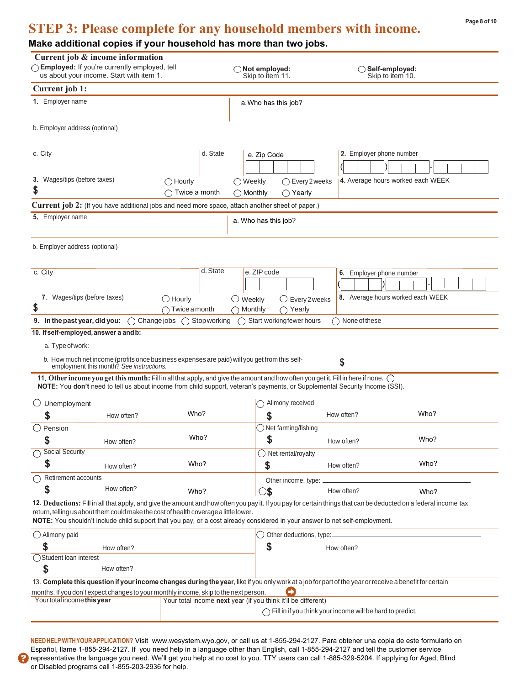# **STEP 3: Please complete for any household members with income.**

### **Make additional copies if your household has more than two jobs.**

| Current job & income information<br>◯ Employed: If you're currently employed, tell<br>us about your income. Start with item 1.                                                                                                                                                                                                                                                          | $\bigcirc$ Not employed:<br>Skip to item 11.                             | $\bigcirc$ Self-employed:<br>Skip to item 10.                       |  |
|-----------------------------------------------------------------------------------------------------------------------------------------------------------------------------------------------------------------------------------------------------------------------------------------------------------------------------------------------------------------------------------------|--------------------------------------------------------------------------|---------------------------------------------------------------------|--|
| Current job 1:                                                                                                                                                                                                                                                                                                                                                                          |                                                                          |                                                                     |  |
| 1. Employer name                                                                                                                                                                                                                                                                                                                                                                        | a. Who has this job?                                                     |                                                                     |  |
| b. Employer address (optional)                                                                                                                                                                                                                                                                                                                                                          |                                                                          |                                                                     |  |
| c. City<br><b>3.</b> Wages/tips (before taxes)<br>$\bigcirc$ Hourly                                                                                                                                                                                                                                                                                                                     | d. State<br>e. Zip Code<br>$\bigcirc$ Every 2 weeks<br>$\bigcirc$ Weekly | 2. Employer phone number<br>4. Average hours worked each WEEK       |  |
| \$<br>Twice a month                                                                                                                                                                                                                                                                                                                                                                     | $\bigcap$ Yearly<br>$\bigcirc$ Monthly                                   |                                                                     |  |
| Current job 2: (If you have additional jobs and need more space, attach another sheet of paper.)<br>5. Employer name                                                                                                                                                                                                                                                                    | a. Who has this job?                                                     |                                                                     |  |
| b. Employer address (optional)                                                                                                                                                                                                                                                                                                                                                          |                                                                          |                                                                     |  |
| c. City                                                                                                                                                                                                                                                                                                                                                                                 | d. State<br>e. ZIP code                                                  | 6. Employer phone number                                            |  |
| 7. Wages/tips (before taxes)<br>$\bigcirc$ Hourly<br>\$<br>$\bigcap$ Twice a month                                                                                                                                                                                                                                                                                                      | $\bigcirc$ Weekly<br>$\bigcirc$ Every 2 weeks<br>Monthly<br>Yearly       | 8. Average hours worked each WEEK                                   |  |
| 9. In the past year, did you:<br>$\bigcirc$ Change jobs $\bigcirc$ Stop working                                                                                                                                                                                                                                                                                                         | $\bigcap$ Start working fewer hours                                      | $\bigcap$ None of these                                             |  |
| 10. If self-employed, answer a and b:                                                                                                                                                                                                                                                                                                                                                   |                                                                          |                                                                     |  |
| a. Type of work:                                                                                                                                                                                                                                                                                                                                                                        |                                                                          |                                                                     |  |
| b. How much net income (profits once business expenses are paid) will you get from this self-<br>employment this month? See instructions.                                                                                                                                                                                                                                               |                                                                          | \$                                                                  |  |
| 11. Other income you get this month: Fill in all that apply, and give the amount and how often you get it. Fill in here if none. $\bigcirc$<br>NOTE: You don't need to tell us about income from child support, veteran's payments, or Supplemental Security Income (SSI).                                                                                                              |                                                                          |                                                                     |  |
| Unemployment                                                                                                                                                                                                                                                                                                                                                                            | ◯ Alimony received                                                       |                                                                     |  |
| Who?<br>\$<br>How often?                                                                                                                                                                                                                                                                                                                                                                | \$                                                                       | Who?<br>How often?                                                  |  |
| $\bigcirc$ Pension                                                                                                                                                                                                                                                                                                                                                                      | $\bigcirc$ Net farming/fishing                                           |                                                                     |  |
| Who?<br>\$<br>How often?                                                                                                                                                                                                                                                                                                                                                                | \$                                                                       | Who?<br>How often?                                                  |  |
| <b>Social Security</b>                                                                                                                                                                                                                                                                                                                                                                  | $\bigcirc$ Net rental/royalty                                            |                                                                     |  |
| S<br>Who?<br>How often?                                                                                                                                                                                                                                                                                                                                                                 | \$                                                                       | Who?<br>How often?                                                  |  |
| Retirement accounts                                                                                                                                                                                                                                                                                                                                                                     |                                                                          |                                                                     |  |
| How often?<br>S<br>Who?                                                                                                                                                                                                                                                                                                                                                                 | Other income, type:<br>8                                                 | How often?<br>Who?                                                  |  |
| 12. Deductions: Fill in all that apply, and give the amount and how often you pay it. If you pay for certain things that can be deducted on a federal income tax<br>return, telling us about them could make the cost of health coverage a little lower.<br>NOTE: You shouldn't include child support that you pay, or a cost already considered in your answer to net self-employment. |                                                                          |                                                                     |  |
| $\bigcirc$ Alimony paid                                                                                                                                                                                                                                                                                                                                                                 | $\bigcirc$ Other deductions, type:                                       |                                                                     |  |
| \$<br>How often?<br>◯ Student loan interest                                                                                                                                                                                                                                                                                                                                             | \$                                                                       | How often?                                                          |  |
| \$<br>How often?                                                                                                                                                                                                                                                                                                                                                                        |                                                                          |                                                                     |  |
| 13. Complete this question if your income changes during the year, like if you only work at a job for part of the year or receive a benefit for certain<br>months. If you don't expect changes to your monthly income, skip to the next person.                                                                                                                                         | $\rightarrow$                                                            |                                                                     |  |
| Your total income this year                                                                                                                                                                                                                                                                                                                                                             | Your total income next year (if you think it'll be different)            | $\bigcap$ Fill in if you think your income will be hard to predict. |  |
|                                                                                                                                                                                                                                                                                                                                                                                         |                                                                          |                                                                     |  |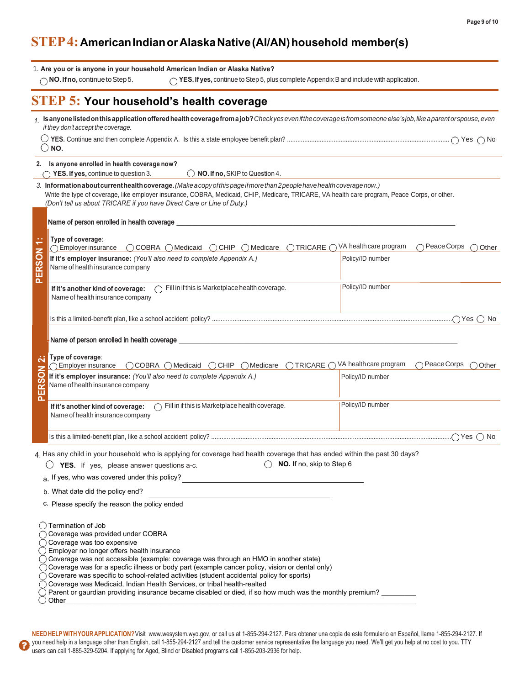## **STEP 4: American Indian or Alaska Native (AI/AN) household member(s)**

|                     | 1. Are you or is anyone in your household American Indian or Alaska Native?<br>$\bigcap$ NO. If no, continue to Step 5.<br>$\bigcirc$ YES. If yes, continue to Step 5, plus complete Appendix B and include with application.                                                                                                                                                                                                                                                                                                                                                                                                                                                                            |                                                                   |
|---------------------|----------------------------------------------------------------------------------------------------------------------------------------------------------------------------------------------------------------------------------------------------------------------------------------------------------------------------------------------------------------------------------------------------------------------------------------------------------------------------------------------------------------------------------------------------------------------------------------------------------------------------------------------------------------------------------------------------------|-------------------------------------------------------------------|
|                     | <b>STEP 5: Your household's health coverage</b>                                                                                                                                                                                                                                                                                                                                                                                                                                                                                                                                                                                                                                                          |                                                                   |
|                     | 1. Is anyone listed on this application offered health coverage from a job? Check yes even if the coverage is from someone else's job, like a parent or spouse, even<br>if they don't accept the coverage.                                                                                                                                                                                                                                                                                                                                                                                                                                                                                               |                                                                   |
|                     | $\bigcirc$ NO.                                                                                                                                                                                                                                                                                                                                                                                                                                                                                                                                                                                                                                                                                           |                                                                   |
|                     | 2. Is anyone enrolled in health coverage now?<br>$\bigcirc$ NO. If no, SKIP to Question 4.<br>YES. If yes, continue to question 3.                                                                                                                                                                                                                                                                                                                                                                                                                                                                                                                                                                       |                                                                   |
|                     | 3. Information about current health coverage. (Make a copy of this page if more than 2 people have health coverage now.)<br>Write the type of coverage, like employer insurance, COBRA, Medicaid, CHIP, Medicare, TRICARE, VA health care program, Peace Corps, or other.<br>(Don't tell us about TRICARE if you have Direct Care or Line of Duty.)                                                                                                                                                                                                                                                                                                                                                      |                                                                   |
|                     | Name of person enrolled in health coverage                                                                                                                                                                                                                                                                                                                                                                                                                                                                                                                                                                                                                                                               |                                                                   |
|                     | Type of coverage:<br>◯ COBRA ◯ Medicaid ◯ CHIP ◯ Medicare<br>$\bigcap$ Employer insurance                                                                                                                                                                                                                                                                                                                                                                                                                                                                                                                                                                                                                | ◯ TRICARE ◯ VA health care program<br>$\cap$ Peace Corps<br>Other |
| ERSON               | If it's employer insurance: (You'll also need to complete Appendix A.)<br>Name of health insurance company                                                                                                                                                                                                                                                                                                                                                                                                                                                                                                                                                                                               | Policy/ID number                                                  |
| ௳                   | Fill in if this is Marketplace health coverage.<br>If it's another kind of coverage:<br>Name of health insurance company                                                                                                                                                                                                                                                                                                                                                                                                                                                                                                                                                                                 | Policy/ID number                                                  |
|                     |                                                                                                                                                                                                                                                                                                                                                                                                                                                                                                                                                                                                                                                                                                          |                                                                   |
| ä                   | Name of person enrolled in health coverage _<br>Type of coverage:                                                                                                                                                                                                                                                                                                                                                                                                                                                                                                                                                                                                                                        |                                                                   |
| Ū,<br>$\alpha$<br>m | ○ COBRA ○ Medicaid ○ CHIP ○ Medicare ○ TRICARE ○ VA health care program<br>$\bigcap$ Employer insurance<br>If it's employer insurance: (You'll also need to complete Appendix A.)<br>Name of health insurance company                                                                                                                                                                                                                                                                                                                                                                                                                                                                                    | $\bigcap$ Peace Corps<br>Other<br>Policy/ID number                |
| $\mathbf{a}$        | $\bigcap$ Fill in if this is Marketplace health coverage.<br>If it's another kind of coverage:<br>Name of health insurance company                                                                                                                                                                                                                                                                                                                                                                                                                                                                                                                                                                       | Policy/ID number                                                  |
|                     |                                                                                                                                                                                                                                                                                                                                                                                                                                                                                                                                                                                                                                                                                                          |                                                                   |
|                     | 4. Has any child in your household who is applying for coverage had health coverage that has ended within the past 30 days?<br>$\bigcirc$ NO. If no, skip to Step 6<br>YES. If yes, please answer questions a-c.<br>a. If yes, who was covered under this policy?<br><u>examples and the contract of the set of the set of the set of the set of the set of the set of the set of the set of the set of the set of the set of the set of the set of th</u>                                                                                                                                                                                                                                               |                                                                   |
|                     | b. What date did the policy end?                                                                                                                                                                                                                                                                                                                                                                                                                                                                                                                                                                                                                                                                         |                                                                   |
|                     | c. Please specify the reason the policy ended                                                                                                                                                                                                                                                                                                                                                                                                                                                                                                                                                                                                                                                            |                                                                   |
|                     | $\bigcirc$ Termination of Job<br>◯ Coverage was provided under COBRA<br>◯ Coverage was too expensive<br>$\bigcirc$ Employer no longer offers health insurance<br>$\tilde{\bigcirc}$ Coverage was not accessible (example: coverage was through an HMO in another state)<br>$\bigcirc$ Coverage was for a specfic illness or body part (example cancer policy, vision or dental only)<br>◯ Coverage was specific to school-related activities (student accidental policy for sports)<br>$\bigcirc$ Coverage was Medicaid, Indian Health Services, or tribal health-realted<br>$\bigcirc$ Parent or gaurdian providing insurance became disabled or died, if so how much was the monthly premium? ________ |                                                                   |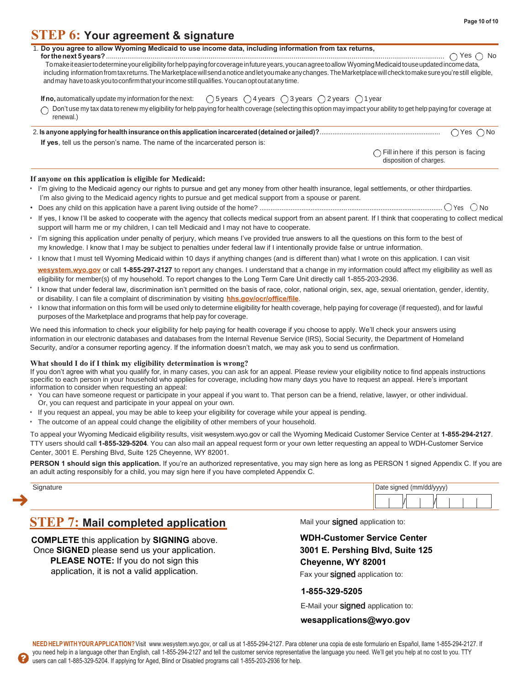### **STEP 6: Your agreement & signature**

| . Do you agree to allow Wyoming Medicaid to use income data, including information from tax returns, |  |  |  |
|------------------------------------------------------------------------------------------------------|--|--|--|
|                                                                                                      |  |  |  |

**for the next 5 years?** ............................................................................................................................................................................... Yes NoTomake iteasier todetermine your eligibility for help paying for coverage infuture years, you can agreetoallow Wyoming Medicaid touse updated income data, including information from tax returns. The Marketplace will send a notice and let you make any changes. The Marketplace will check to make sure you're still eligible, andmay have toask you toconfirm that your income still qualifies. Youcan optoutatany time.

**If no,** automatically update my information for the next:  $\bigcirc$  5 years  $\bigcirc$  4 years  $\bigcirc$  3 years  $\bigcirc$  2 years  $\bigcirc$  1 year

Don't use my tax data to renew my eligibility for help paying for health coverage (selecting this option may impact your ability to get help paying for coverage at ∩ renewal.)

| If yes, tell us the person's name. The name of the incarcerated person is: |  |
|----------------------------------------------------------------------------|--|

 $\bigcap$  Fill in here if this person is facing disposition of charges.

### **If anyone on this application is eligible for Medicaid:**

- I'm giving to the Medicaid agency our rights to pursue and get any money from other health insurance, legal settlements, or other third parties. I'm also giving to the Medicaid agency rights to pursue and get medical support from a spouse or parent.
- Does any child on this application have a parent living outside of the home? .................................................................................................... Yes No
- If yes, I know I'll be asked to cooperate with the agency that collects medical support from an absent parent. If I think that cooperating to collect medical support will harm me or my children, I can tell Medicaid and I may not have to cooperate.
- I'm signing this application under penalty of perjury, which means I've provided true answers to all the questions on this form to the best of my knowledge. I know that I may be subject to penalties under federal law if I intentionally provide false or untrue information.
- I know that I must tell Wyoming Medicaid within 10 days if anything changes (and is different than) what I wrote on this application. I can visit

**wesystem.wyo.gov** or call **1-855-297-2127** to report any changes. I understand that a change in my information could affect my eligibility as well as eligibility for member(s) of my household. To report changes to the Long Term Care Unit directly call 1-855-203-2936.

- I know that under federal law, discrimination isn't permitted on the basis of race, color, national origin, sex, age, sexual orientation, gender, identity, or disability. I can file a complaint of discrimination by visiting **hhs.gov/ocr/office/file**.
- I know that information on this form will be used only to determine eligibility for health coverage, help paying for coverage (if requested), and for lawful purposes of the Marketplace and programs that help pay for coverage.

We need this information to check your eligibility for help paying for health coverage if you choose to apply. We'll check your answers using information in our electronic databases and databases from the Internal Revenue Service (IRS), Social Security, the Department of Homeland Security, and/or a consumer reporting agency. If the information doesn't match, we may ask you to send us confirmation.

### **What should I do if I think my eligibility determination is wrong?**

If you don't agree with what you qualify for, in many cases, you can ask for an appeal. Please review your eligibility notice to find appeals instructions specific to each person in your household who applies for coverage, including how many days you have to request an appeal. Here's important information to consider when requesting an appeal:

- You can have someone request or participate in your appeal if you want to. That person can be a friend, relative, lawyer, or other individual. Or, you can request and participate in your appeal on your own.
- If you request an appeal, you may be able to keep your eligibility for coverage while your appeal is pending.
- The outcome of an appeal could change the eligibility of other members of your household.

To appeal your Wyoming Medicaid eligibility results, visit wesystem.wyo.gov or call the Wyoming Medicaid Customer Service Center at **1-855-294-2127**. TTY users should call **1-855-329-5204**. You can also mail an appeal request form or your own letter requesting an appeal to WDH-Customer Service Center, 3001 E. Pershing Blvd, Suite 125 Cheyenne, WY 82001.

**PERSON 1 should sign this application.** If you're an authorized representative, you may sign here as long as PERSON 1 signed Appendix C. If you are an adult acting responsibly for a child, you may sign here if you have completed Appendix C.

| ∩ignature∩<br>$-$<br>. . | Date signed (mm/dd/yyyy) |
|--------------------------|--------------------------|
|                          | И                        |

### **STEP 7: Mail completed application** Mail your signed application to:

**COMPLETE** this application by **SIGNING** above. Once **SIGNED** please send us your application. **PLEASE NOTE:** If you do not sign this application, it is not a valid application.

### **WDH-Customer Service Center 3001 E. Pershing Blvd, Suite 125 Cheyenne, WY 82001**

Fax your **signed** application to:

### **1-855-329-5205**

E-Mail your **signed** application to:

### **wesapplications@wyo.gov**

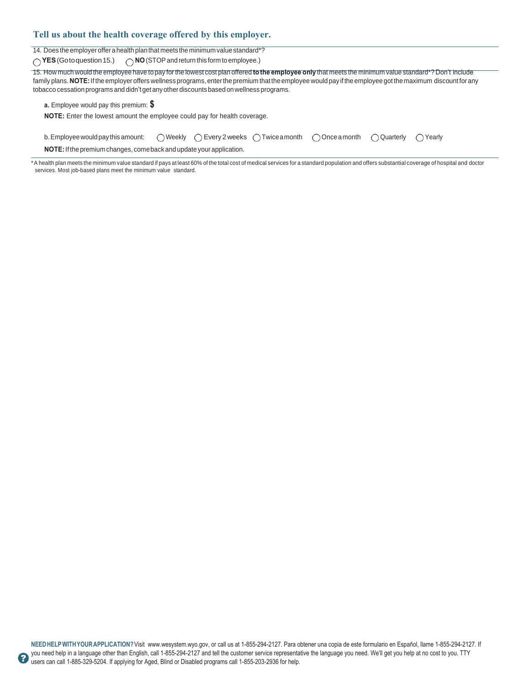### **Tell us about the health coverage offered by this employer.**

14. Does the employer offer a health plan that meets the minimum value standard\*?

◯ YES (Goto question 15.) ◯ NO (STOP and return this form to employee.)

15. How much would the employee have to pay forthe lowest cost plan offered **to the employee only** that meets the minimum value standard\*? Don't include family plans. NOTE: If the employer offers wellness programs, enter the premium that the employee would pay if the employee got the maximum discount for any tobacco cessation programs and didn't get any other discounts based on wellness programs.

**a.** Employee would pay this premium: **\$**

**NOTE:** Enter the lowest amount the employee could pay for health coverage.

| b. Employee would pay this amount: $\bigcirc$ Weekly $\bigcirc$ Every 2 weeks $\bigcirc$ Twice a month $\bigcirc$ Once a month $\bigcirc$ Quarterly $\bigcirc$ Yearly |  |  |  |  |  |  |
|-----------------------------------------------------------------------------------------------------------------------------------------------------------------------|--|--|--|--|--|--|
|-----------------------------------------------------------------------------------------------------------------------------------------------------------------------|--|--|--|--|--|--|

**NOTE:**Ifthepremiumchanges, comeback andupdateyourapplication.

\*A health plan meets the minimum value standard if it pays at least 60% of the total cost of medical services for a standard population and offers substantial coverage of hospital and doctor services. Most job-based plans meet the minimum value standard.

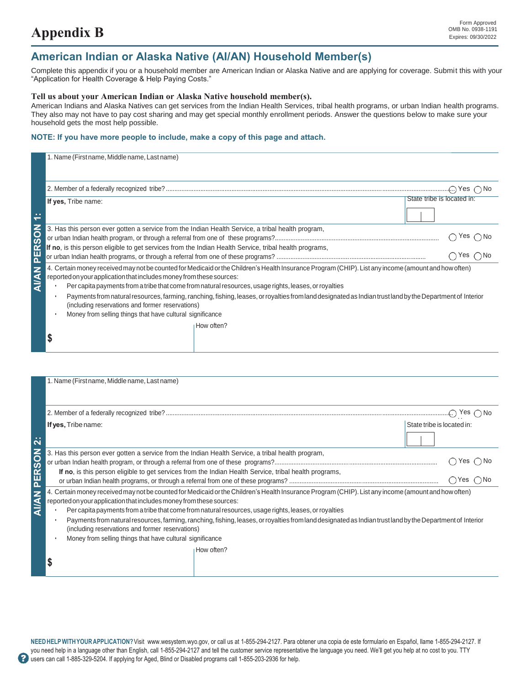### **American Indian or Alaska Native (AI/AN) Household Member(s)**

Complete this appendix if you or a household member are American Indian or Alaska Native and are applying for coverage. Submit this with your "Application for Health Coverage & Help Paying Costs."

### **Tell us about your American Indian or Alaska Native household member(s).**

American Indians and Alaska Natives can get services from the Indian Health Services, tribal health programs, or urban Indian health programs. They also may not have to pay cost sharing and may get special monthly enrollment periods. Answer the questions below to make sure your household gets the most help possible.

### **NOTE: If you have more people to include, make a copy of this page and attach.**

|                                      | 1. Name (First name, Middle name, Last name)                                                                                                                                                                                                                                                                                                                                                                                                                                                                                                                                                                                           |                            |                                                             |
|--------------------------------------|----------------------------------------------------------------------------------------------------------------------------------------------------------------------------------------------------------------------------------------------------------------------------------------------------------------------------------------------------------------------------------------------------------------------------------------------------------------------------------------------------------------------------------------------------------------------------------------------------------------------------------------|----------------------------|-------------------------------------------------------------|
|                                      |                                                                                                                                                                                                                                                                                                                                                                                                                                                                                                                                                                                                                                        |                            |                                                             |
|                                      | If yes, Tribe name:                                                                                                                                                                                                                                                                                                                                                                                                                                                                                                                                                                                                                    |                            | State tribe is located in:                                  |
| $\sim$<br>$\overline{}$              |                                                                                                                                                                                                                                                                                                                                                                                                                                                                                                                                                                                                                                        |                            |                                                             |
| ERSON<br>$\overline{\mathbf{a}}$     | 3. Has this person ever gotten a service from the Indian Health Service, a tribal health program,<br>If no, is this person eligible to get services from the Indian Health Service, tribal health programs,                                                                                                                                                                                                                                                                                                                                                                                                                            |                            | $\bigcap$ Yes $\bigcirc$ No<br>$\bigcirc$ Yes $\bigcirc$ No |
| <b>AI/AN</b>                         | 4. Certain money received may not be counted for Medicaid or the Children's Health Insurance Program (CHIP). List any income (amount and how often)<br>reported on your application that includes money from these sources:<br>Per capita payments from a tribe that come from natural resources, usage rights, leases, or royalties<br>Payments from natural resources, farming, ranching, fishing, leases, or royalties from land designated as Indian trust land by the Department of Interior<br>(including reservations and former reservations)<br>Money from selling things that have cultural significance<br>How often?<br>\$ |                            |                                                             |
|                                      |                                                                                                                                                                                                                                                                                                                                                                                                                                                                                                                                                                                                                                        |                            |                                                             |
|                                      | 1. Name (First name, Middle name, Last name)                                                                                                                                                                                                                                                                                                                                                                                                                                                                                                                                                                                           |                            |                                                             |
|                                      |                                                                                                                                                                                                                                                                                                                                                                                                                                                                                                                                                                                                                                        |                            |                                                             |
|                                      | If yes, Tribe name:                                                                                                                                                                                                                                                                                                                                                                                                                                                                                                                                                                                                                    | State tribe is located in: |                                                             |
| $\ddot{\mathbf{a}}$                  |                                                                                                                                                                                                                                                                                                                                                                                                                                                                                                                                                                                                                                        |                            |                                                             |
| z<br>$\overline{\mathbf{S}}$         | 3. Has this person ever gotten a service from the Indian Health Service, a tribal health program,                                                                                                                                                                                                                                                                                                                                                                                                                                                                                                                                      |                            | $\bigcap$ Yes $\bigcap$ No                                  |
| $\tilde{\mathbb{E}}$<br>$\mathbf{a}$ | If no, is this person eligible to get services from the Indian Health Service, tribal health programs,                                                                                                                                                                                                                                                                                                                                                                                                                                                                                                                                 |                            | $\bigcirc$ Yes $\bigcirc$ No                                |
| <b>NANIA</b>                         | 4. Certain money received may not be counted for Medicaid or the Children's Health Insurance Program (CHIP). List any income (amount and how often)<br>reported on your application that includes money from these sources:<br>Per capita payments from a tribe that come from natural resources, usage rights, leases, or royalties                                                                                                                                                                                                                                                                                                   |                            |                                                             |
|                                      |                                                                                                                                                                                                                                                                                                                                                                                                                                                                                                                                                                                                                                        |                            |                                                             |

|                     | Yes $\bigcap$ No                                                                                                                                                                                                                                                                                                                                                                                                                                                                                                                                                                                                                                                                                                                                                                                                                  |
|---------------------|-----------------------------------------------------------------------------------------------------------------------------------------------------------------------------------------------------------------------------------------------------------------------------------------------------------------------------------------------------------------------------------------------------------------------------------------------------------------------------------------------------------------------------------------------------------------------------------------------------------------------------------------------------------------------------------------------------------------------------------------------------------------------------------------------------------------------------------|
|                     | State tribe is located in:                                                                                                                                                                                                                                                                                                                                                                                                                                                                                                                                                                                                                                                                                                                                                                                                        |
|                     |                                                                                                                                                                                                                                                                                                                                                                                                                                                                                                                                                                                                                                                                                                                                                                                                                                   |
|                     | Yes ()No                                                                                                                                                                                                                                                                                                                                                                                                                                                                                                                                                                                                                                                                                                                                                                                                                          |
|                     | $\bigcap$ Yes $\bigcap$ No                                                                                                                                                                                                                                                                                                                                                                                                                                                                                                                                                                                                                                                                                                                                                                                                        |
|                     |                                                                                                                                                                                                                                                                                                                                                                                                                                                                                                                                                                                                                                                                                                                                                                                                                                   |
|                     |                                                                                                                                                                                                                                                                                                                                                                                                                                                                                                                                                                                                                                                                                                                                                                                                                                   |
| How often?          |                                                                                                                                                                                                                                                                                                                                                                                                                                                                                                                                                                                                                                                                                                                                                                                                                                   |
| If yes, Tribe name: | 3. Has this person ever gotten a service from the Indian Health Service, a tribal health program,<br>If no, is this person eligible to get services from the Indian Health Service, tribal health programs,<br>4. Certain money received may not be counted for Medicaid or the Children's Health Insurance Program (CHIP). List any income (amount and how often)<br>reported on your application that includes money from these sources:<br>Per capita payments from a tribe that come from natural resources, usage rights, leases, or royalties<br>Payments from natural resources, farming, ranching, fishing, leases, or royalties from land designated as Indian trust land by the Department of Interior<br>(including reservations and former reservations)<br>Money from selling things that have cultural significance |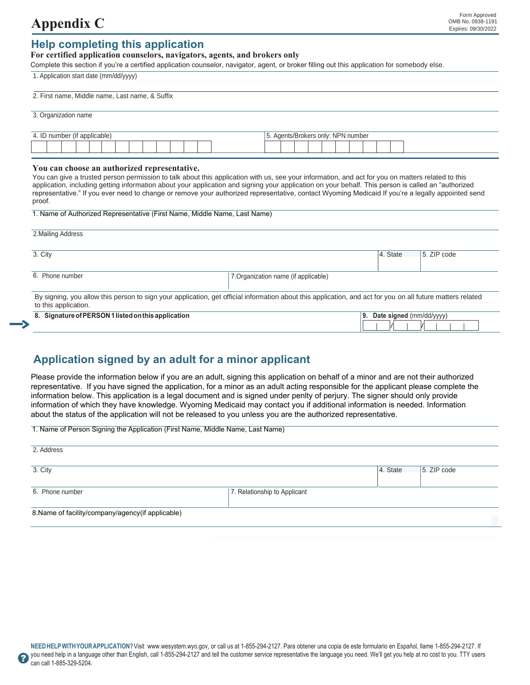# **Appendix C** Expires: 09/30/2022

### **Help completing this application**

### **For certified application counselors, navigators, agents, and brokers only**

Complete this section if you're a certified application counselor, navigator, agent, or broker filling out this application for somebody else.

1. Application start date (mm/dd/yyyy)

| 2. First name, Middle name, Last name, & Suffix                           |                                                                                                                                                                                                                                                                                                                                                                                                                                                                |
|---------------------------------------------------------------------------|----------------------------------------------------------------------------------------------------------------------------------------------------------------------------------------------------------------------------------------------------------------------------------------------------------------------------------------------------------------------------------------------------------------------------------------------------------------|
| 3. Organization name                                                      |                                                                                                                                                                                                                                                                                                                                                                                                                                                                |
| 4. ID number (if applicable)                                              | 5. Agents/Brokers only: NPN number                                                                                                                                                                                                                                                                                                                                                                                                                             |
| You can choose an authorized representative.<br>proof.                    | You can give a trusted person permission to talk about this application with us, see your information, and act for you on matters related to this<br>application, including getting information about your application and signing your application on your behalf. This person is called an "authorized"<br>representative." If you ever need to change or remove your authorized representative, contact Wyoming Medicaid If you're a legally appointed send |
| 1. Name of Authorized Representative (First Name, Middle Name, Last Name) |                                                                                                                                                                                                                                                                                                                                                                                                                                                                |
| 2. Mailing Address                                                        |                                                                                                                                                                                                                                                                                                                                                                                                                                                                |
| 3. City                                                                   | 4. State<br>5. ZIP code                                                                                                                                                                                                                                                                                                                                                                                                                                        |
| 6. Phone number                                                           | 7. Organization name (if applicable)                                                                                                                                                                                                                                                                                                                                                                                                                           |
| to this application.                                                      | By signing, you allow this person to sign your application, get official information about this application, and act for you on all future matters related                                                                                                                                                                                                                                                                                                     |
| 8. Signature of PERSON 1 listed on this application                       | 9. Date signed (mm/dd/yyyy)                                                                                                                                                                                                                                                                                                                                                                                                                                    |

### **Application signed by an adult for a minor applicant**

Please provide the information below if you are an adult, signing this application on behalf of a minor and are not their authorized representative. If you have signed the application, for a minor as an adult acting responsible for the applicant please complete the information below. This application is a legal document and is signed under penlty of perjury. The signer should only provide information of which they have knowledge. Wyoming Medicaid may contact you if additional information is needed. Information about the status of the application will not be released to you unless you are the authorized representative.

1. Name of Person Signing the Application (First Name, Middle Name, Last Name)

| 2. Address                                        |                              |          |             |
|---------------------------------------------------|------------------------------|----------|-------------|
| 3. City                                           |                              | 4. State | 5. ZIP code |
| 6. Phone number                                   | 7. Relationship to Applicant |          |             |
| 8. Name of facility/company/agency(if applicable) |                              |          |             |

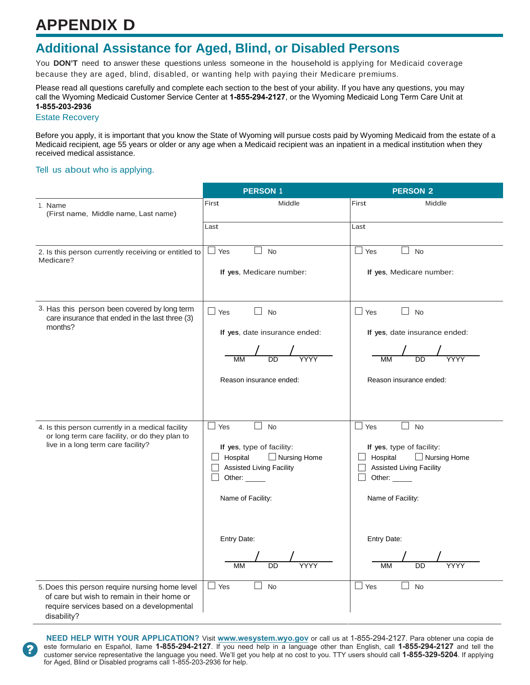# **APPENDIX D**

## **Additional Assistance for Aged, Blind, or Disabled Persons**

You **DON'T** need to answer these questions unless someone in the household is applying for Medicaid coverage because they are aged, blind, disabled, or wanting help with paying their Medicare premiums.

Please read all questions carefully and complete each section to the best of your ability. If you have any questions, you may call the Wyoming Medicaid Customer Service Center at **1-855-294-2127**, or the Wyoming Medicaid Long Term Care Unit at **1-855-203-2936**

### Estate Recovery

Before you apply, it is important that you know the State of Wyoming will pursue costs paid by Wyoming Medicaid from the estate of a Medicaid recipient, age 55 years or older or any age when a Medicaid recipient was an inpatient in a medical institution when they received medical assistance.

### Tell us about who is applying.

|                                                                                                                                                           | <b>PERSON 1</b>                                         | <b>PERSON 2</b>                                              |
|-----------------------------------------------------------------------------------------------------------------------------------------------------------|---------------------------------------------------------|--------------------------------------------------------------|
| 1. Name<br>(First name, Middle name, Last name)                                                                                                           | First<br>Middle                                         | First<br>Middle                                              |
|                                                                                                                                                           | Last                                                    | Last                                                         |
| 2. Is this person currently receiving or entitled to<br>Medicare?                                                                                         | $\Box$ Yes<br>×.<br><b>No</b>                           | $\Box$<br>Yes<br><b>No</b>                                   |
|                                                                                                                                                           | If yes, Medicare number:                                | If yes, Medicare number:                                     |
| 3. Has this person been covered by long term<br>care insurance that ended in the last three (3)<br>months?                                                | $\Box$ Yes<br>П<br><b>No</b>                            | $\Box$<br>Yes<br><b>No</b>                                   |
|                                                                                                                                                           | If yes, date insurance ended:                           | If yes, date insurance ended:                                |
|                                                                                                                                                           |                                                         |                                                              |
|                                                                                                                                                           | Reason insurance ended:                                 | Reason insurance ended:                                      |
|                                                                                                                                                           |                                                         |                                                              |
| 4. Is this person currently in a medical facility<br>or long term care facility, or do they plan to                                                       | $\Box$ Yes<br>$\vert \ \ \vert$<br><b>No</b>            | $\overline{\phantom{a}}$<br>Yes<br><b>No</b>                 |
| live in a long term care facility?                                                                                                                        | If yes, type of facility:<br>Hospital<br>□ Nursing Home | If yes, type of facility:<br>$\Box$ Hospital<br>Nursing Home |
|                                                                                                                                                           | <b>Assisted Living Facility</b>                         | <b>Assisted Living Facility</b>                              |
|                                                                                                                                                           | Other:                                                  | Other:                                                       |
|                                                                                                                                                           | Name of Facility:                                       | Name of Facility:                                            |
|                                                                                                                                                           |                                                         |                                                              |
|                                                                                                                                                           | Entry Date:                                             | Entry Date:                                                  |
|                                                                                                                                                           | $\overline{\text{DD}}$<br>MM                            | $\overline{\mathtt{DD}}$                                     |
| 5. Does this person require nursing home level<br>of care but wish to remain in their home or<br>require services based on a developmental<br>disability? | $\Box$ Yes<br>$\vert \ \ \vert$<br>No                   | Yes<br><b>No</b><br>$\Box$                                   |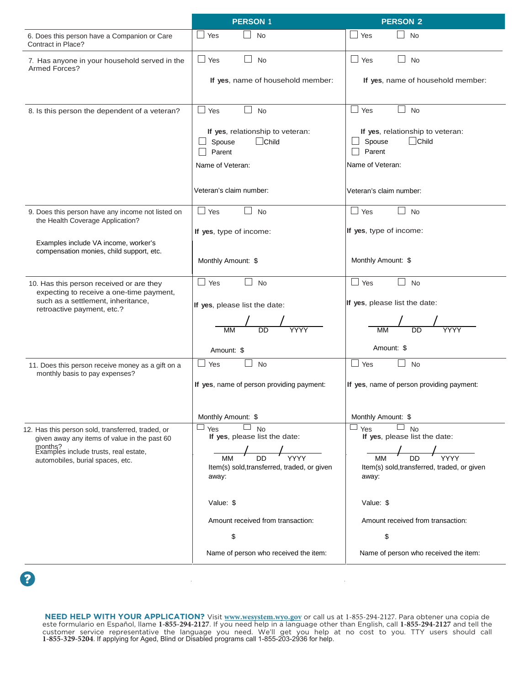|                                                                                                                            | <b>PERSON 1</b>                                                                                 | <b>PERSON 2</b>                                                                                 |
|----------------------------------------------------------------------------------------------------------------------------|-------------------------------------------------------------------------------------------------|-------------------------------------------------------------------------------------------------|
| 6. Does this person have a Companion or Care<br>Contract in Place?                                                         | $\Box$ Yes<br><b>No</b>                                                                         | <b>No</b><br>$\Box$ Yes                                                                         |
| 7. Has anyone in your household served in the<br>Armed Forces?                                                             | $\Box$ Yes<br><b>No</b><br>$\Box$<br>If yes, name of household member:                          | $\Box$ Yes<br>$\Box$ No<br>If yes, name of household member:                                    |
|                                                                                                                            |                                                                                                 |                                                                                                 |
| 8. Is this person the dependent of a veteran?                                                                              | $\Box$ Yes<br>$\Box$<br>No                                                                      | $\Box$ Yes<br>$\mathbb{Z}$<br>No                                                                |
|                                                                                                                            | If yes, relationship to veteran:<br>$\Box$ Child<br>Spouse<br>Parent                            | If yes, relationship to veteran:<br>$\Box$ Child<br>$\Box$ Spouse<br>Parent                     |
|                                                                                                                            | Name of Veteran:                                                                                | Name of Veteran:                                                                                |
|                                                                                                                            | Veteran's claim number:                                                                         | Veteran's claim number:                                                                         |
| 9. Does this person have any income not listed on<br>the Health Coverage Application?                                      | $\Box$ Yes<br>$\Box$<br><b>No</b>                                                               | $\Box$ Yes<br>$\Box$ No                                                                         |
| Examples include VA income, worker's<br>compensation monies, child support, etc.                                           | If yes, type of income:                                                                         | If yes, type of income:                                                                         |
|                                                                                                                            | Monthly Amount: \$                                                                              | Monthly Amount: \$                                                                              |
| 10. Has this person received or are they<br>expecting to receive a one-time payment,<br>such as a settlement, inheritance, | $\Box$ Yes<br>$\Box$<br>No                                                                      | $\Box$ Yes<br>$\mathsf{L}$<br><b>No</b>                                                         |
| retroactive payment, etc.?                                                                                                 | If yes, please list the date:                                                                   | If yes, please list the date:                                                                   |
|                                                                                                                            | <b>MM</b><br>DD                                                                                 | DD                                                                                              |
|                                                                                                                            | Amount: \$                                                                                      | Amount: \$                                                                                      |
| 11. Does this person receive money as a gift on a<br>monthly basis to pay expenses?                                        | No<br>$\overline{\phantom{a}}$<br>Yes                                                           | $\Box$ Yes<br>No                                                                                |
|                                                                                                                            | If yes, name of person providing payment:                                                       | If yes, name of person providing payment:                                                       |
|                                                                                                                            | Monthly Amount: \$                                                                              | Monthly Amount: \$                                                                              |
| 12. Has this person sold, transferred, traded, or<br>given away any items of value in the past 60                          | $\Box$ No<br>$\sqcup$ Yes<br>If yes, please list the date:                                      | $\Box$ No<br>ш<br>Yes<br>If yes, please list the date:                                          |
| months?<br>Examples include trusts, real estate,<br>automobiles, burial spaces, etc.                                       | $\frac{1}{\text{DD}}$ YYYY<br><b>MM</b><br>Item(s) sold, transferred, traded, or given<br>away: | $\frac{1}{\text{DD}}$ YYYY<br><b>MM</b><br>Item(s) sold, transferred, traded, or given<br>away: |
|                                                                                                                            | Value: \$                                                                                       | Value: \$                                                                                       |
|                                                                                                                            | Amount received from transaction:                                                               | Amount received from transaction:                                                               |
|                                                                                                                            | \$                                                                                              | \$                                                                                              |
|                                                                                                                            | Name of person who received the item:                                                           | Name of person who received the item:                                                           |

2

**NEED HELP WITH YOUR APPLICATION?** Visit **www.wesystem.wyo.gov** or call us at 1-855-294-2127. Para obtener una copia de este formulario en Español, llame 1-855-294-2127. If you need help in a language other than English, call 1-855-294-2127 and tell the<br>customer service representative the language you need. We'll get you help at no cost to

 $\sim$ 

 $\bar{z}$